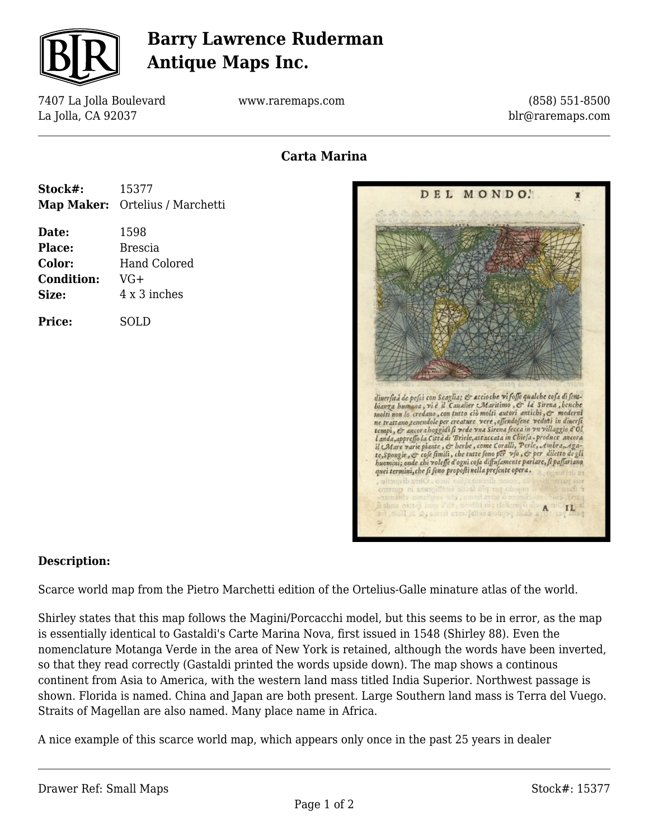

## **Barry Lawrence Ruderman Antique Maps Inc.**

7407 La Jolla Boulevard La Jolla, CA 92037

www.raremaps.com

(858) 551-8500 blr@raremaps.com

## **Carta Marina**

| Stock#: | 15377                           |
|---------|---------------------------------|
|         | Map Maker: Ortelius / Marchetti |

**Date:** 1598 **Place:** Brescia **Color:** Hand Colored **Condition:** VG+ **Size:** 4 x 3 inches

**Price:** SOLD



## **Description:**

Scarce world map from the Pietro Marchetti edition of the Ortelius-Galle minature atlas of the world.

Shirley states that this map follows the Magini/Porcacchi model, but this seems to be in error, as the map is essentially identical to Gastaldi's Carte Marina Nova, first issued in 1548 (Shirley 88). Even the nomenclature Motanga Verde in the area of New York is retained, although the words have been inverted, so that they read correctly (Gastaldi printed the words upside down). The map shows a continous continent from Asia to America, with the western land mass titled India Superior. Northwest passage is shown. Florida is named. China and Japan are both present. Large Southern land mass is Terra del Vuego. Straits of Magellan are also named. Many place name in Africa.

A nice example of this scarce world map, which appears only once in the past 25 years in dealer